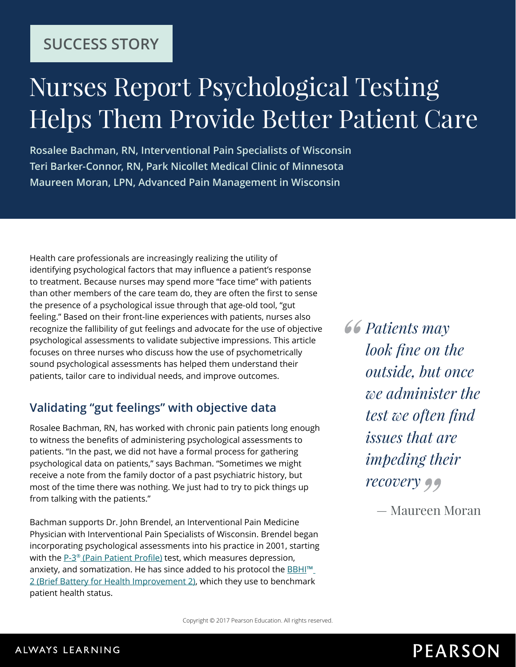## **SUCCESS STORY**

# Nurses Report Psychological Testing Helps Them Provide Better Patient Care

**Rosalee Bachman, RN, Interventional Pain Specialists of Wisconsin Teri Barker-Connor, RN, Park Nicollet Medical Clinic of Minnesota Maureen Moran, LPN, Advanced Pain Management in Wisconsin**

Health care professionals are increasingly realizing the utility of identifying psychological factors that may influence a patient's response to treatment. Because nurses may spend more "face time" with patients than other members of the care team do, they are often the first to sense the presence of a psychological issue through that age-old tool, "gut feeling." Based on their front-line experiences with patients, nurses also recognize the fallibility of gut feelings and advocate for the use of objective psychological assessments to validate subjective impressions. This article focuses on three nurses who discuss how the use of psychometrically sound psychological assessments has helped them understand their patients, tailor care to individual needs, and improve outcomes.

### **Validating "gut feelings" with objective data**

Rosalee Bachman, RN, has worked with chronic pain patients long enough to witness the benefits of administering psychological assessments to patients. "In the past, we did not have a formal process for gathering psychological data on patients," says Bachman. "Sometimes we might receive a note from the family doctor of a past psychiatric history, but most of the time there was nothing. We just had to try to pick things up from talking with the patients."

Bachman supports Dr. John Brendel, an Interventional Pain Medicine Physician with Interventional Pain Specialists of Wisconsin. Brendel began incorporating psychological assessments into his practice in 2001, starting with the P-3<sup>®</sup> [\(Pain Patient Profile\)](http://www.pearsonclinical.com/psychology/products/100000657/pain-patient-profile-p-3.html) test, which measures depression, anxiety, and somatization. He has since added to his protocol the **BBHI**<sup>™</sup> [2 \(Brief Battery for Health Improvement 2\)](http://www.pearsonclinical.com/psychology/products/100000162/brief-battery-for-health-improvement-2-bbhi-2.html), which they use to benchmark patient health status.

*Patients may look fine on the outside, but once we administer the test we often find issues that are impeding their recovery*

— Maureen Moran

## **PEARSON**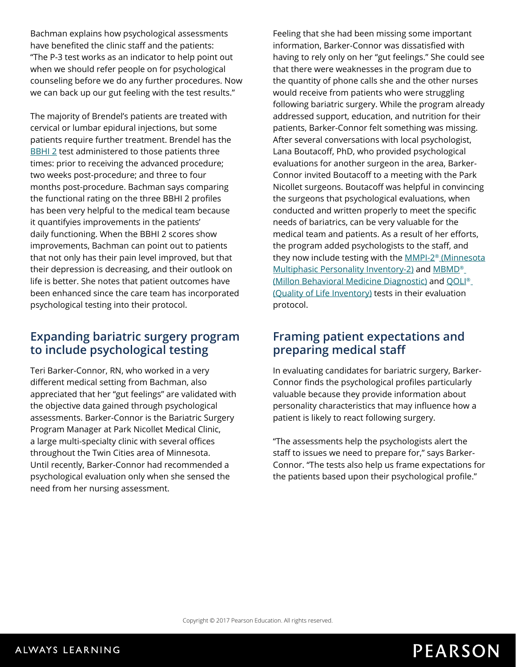Bachman explains how psychological assessments have benefited the clinic staff and the patients: "The P-3 test works as an indicator to help point out when we should refer people on for psychological counseling before we do any further procedures. Now we can back up our gut feeling with the test results."

The majority of Brendel's patients are treated with cervical or lumbar epidural injections, but some patients require further treatment. Brendel has the [BBHI 2](http://www.pearsonclinical.com/psychology/products/100000162/brief-battery-for-health-improvement-2-bbhi-2.html) test administered to those patients three times: prior to receiving the advanced procedure; two weeks post-procedure; and three to four months post-procedure. Bachman says comparing the functional rating on the three BBHI 2 profiles has been very helpful to the medical team because it quantifyies improvements in the patients' daily functioning. When the BBHI 2 scores show improvements, Bachman can point out to patients that not only has their pain level improved, but that their depression is decreasing, and their outlook on life is better. She notes that patient outcomes have been enhanced since the care team has incorporated psychological testing into their protocol.

#### **Expanding bariatric surgery program to include psychological testing**

Teri Barker-Connor, RN, who worked in a very different medical setting from Bachman, also appreciated that her "gut feelings" are validated with the objective data gained through psychological assessments. Barker-Connor is the Bariatric Surgery Program Manager at Park Nicollet Medical Clinic, a large multi-specialty clinic with several offices throughout the Twin Cities area of Minnesota. Until recently, Barker-Connor had recommended a psychological evaluation only when she sensed the need from her nursing assessment.

Feeling that she had been missing some important information, Barker-Connor was dissatisfied with having to rely only on her "gut feelings." She could see that there were weaknesses in the program due to the quantity of phone calls she and the other nurses would receive from patients who were struggling following bariatric surgery. While the program already addressed support, education, and nutrition for their patients, Barker-Connor felt something was missing. After several conversations with local psychologist, Lana Boutacoff, PhD, who provided psychological evaluations for another surgeon in the area, Barker-Connor invited Boutacoff to a meeting with the Park Nicollet surgeons. Boutacoff was helpful in convincing the surgeons that psychological evaluations, when conducted and written properly to meet the specific needs of bariatrics, can be very valuable for the medical team and patients. As a result of her efforts, the program added psychologists to the staff, and they now include testing with the MMPI-2<sup>®</sup> (Minnesota [Multiphasic Personality Inventory-2\)](http://www.pearsonclinical.com/psychology/products/100000461/minnesota-multiphasic-personality-inventory-2-mmpi-2.html) and MBMD<sup>®</sup> [\(Millon Behavioral Medicine Diagnostic\)](http://www.pearsonclinical.com/MBMD) and [QOLI®](http://www.pearsonclinical.com/psychology/products/100000635/quality-of-life-inventory-qoli.html) [\(Quality of Life Inventory\)](http://www.pearsonclinical.com/psychology/products/100000635/quality-of-life-inventory-qoli.html) tests in their evaluation protocol.

#### **Framing patient expectations and preparing medical staff**

In evaluating candidates for bariatric surgery, Barker-Connor finds the psychological profiles particularly valuable because they provide information about personality characteristics that may influence how a patient is likely to react following surgery.

"The assessments help the psychologists alert the staff to issues we need to prepare for," says Barker-Connor. "The tests also help us frame expectations for the patients based upon their psychological profile."

## **PEARSON**